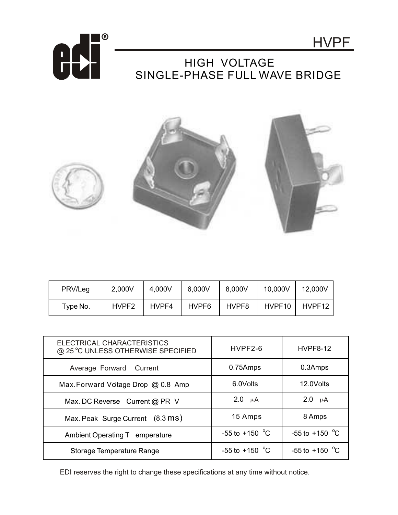



## HIGH VOLTAGE SINGLE-PHASE FULL WAVE BRIDGE



| PRV/Leg  | 2,000V            | 4,000V | 6,000V | 8,000V | 10,000V | 12,000V |
|----------|-------------------|--------|--------|--------|---------|---------|
| Type No. | HVPF <sub>2</sub> | HVPF4  | HVPF6  | HVPF8  | HVPF10  | HVPF12  |

| ELECTRICAL CHARACTERISTICS<br>@ 25 °C UNLESS OTHERWISE SPECIFIED | $HVPF2-6$                | <b>HVPF8-12</b>          |
|------------------------------------------------------------------|--------------------------|--------------------------|
| Average Forward Current                                          | 0.75Amps                 | 0.3Amps                  |
| Max. Forward Voltage Drop @ 0.8 Amp                              | 6.0Volts                 | 12.0Volts                |
| Max. DC Reverse Current @ PR V                                   | $2.0 \mu A$              | $2.0 \mu A$              |
| Max. Peak Surge Current (8.3 ms)                                 | 15 Amps                  | 8 Amps                   |
| Ambient Operating T emperature                                   | -55 to +150 $^{\circ}$ C | $-55$ to $+150$ °C       |
| Storage Temperature Range                                        | $-55$ to $+150$ °C       | -55 to +150 $^{\circ}$ C |

EDI reserves the right to change these specifications at any time without notice.